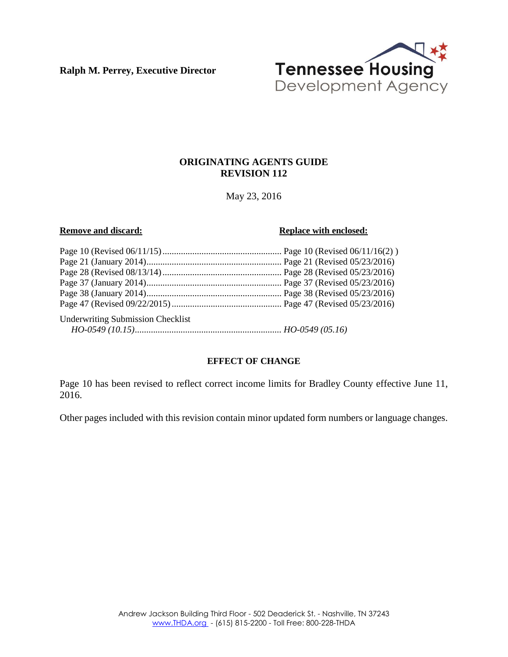**Ralph M. Perrey, Executive Director**



#### **ORIGINATING AGENTS GUIDE REVISION 112**

May 23, 2016

#### **Remove and discard: Replace with enclosed: Replace with enclosed:**

| <b>Underwriting Submission Checklist</b> |  |
|------------------------------------------|--|
|                                          |  |

#### **EFFECT OF CHANGE**

Page 10 has been revised to reflect correct income limits for Bradley County effective June 11, 2016.

Other pages included with this revision contain minor updated form numbers or language changes.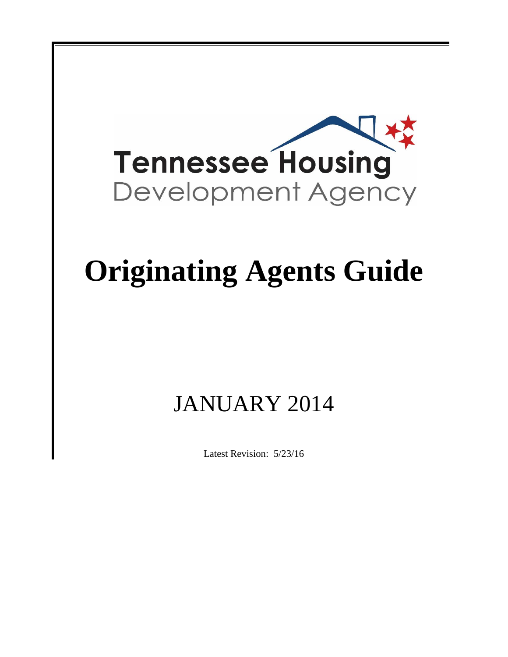

# **Originating Agents Guide**

## JANUARY 2014

Latest Revision: 5/23/16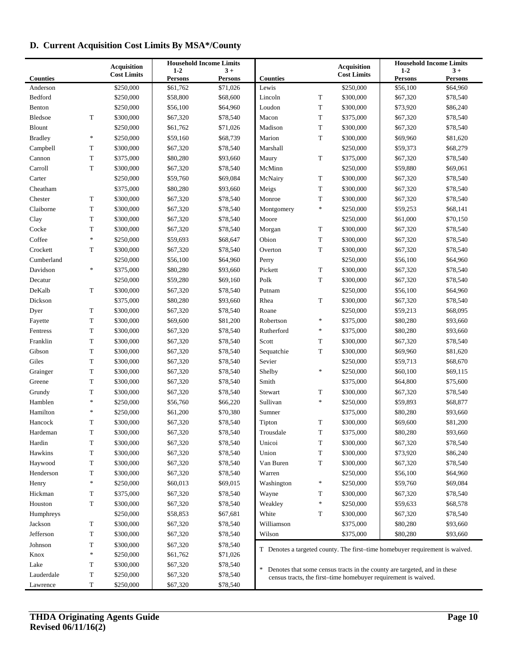### **D. Current Acquisition Cost Limits By MSA\*/County**

|                 |        |                                          | <b>Household Income Limits</b> |                |                 |                                                                |                                          | <b>Household Income Limits</b>                                               |                |
|-----------------|--------|------------------------------------------|--------------------------------|----------------|-----------------|----------------------------------------------------------------|------------------------------------------|------------------------------------------------------------------------------|----------------|
|                 |        | <b>Acquisition</b><br><b>Cost Limits</b> | $1-2$                          | $3+$           |                 |                                                                | <b>Acquisition</b><br><b>Cost Limits</b> | $1-2$                                                                        | $3+$           |
| <b>Counties</b> |        |                                          | <b>Persons</b>                 | <b>Persons</b> | <b>Counties</b> |                                                                |                                          | <b>Persons</b>                                                               | <b>Persons</b> |
| Anderson        |        | \$250,000                                | \$61,762                       | \$71,026       | Lewis           |                                                                | \$250,000                                | \$56,100                                                                     | \$64,960       |
| Bedford         |        | \$250,000                                | \$58,800                       | \$68,600       | Lincoln         | T                                                              | \$300,000                                | \$67,320                                                                     | \$78,540       |
| Benton          |        | \$250,000                                | \$56,100                       | \$64,960       | Loudon          | T                                                              | \$300,000                                | \$73,920                                                                     | \$86,240       |
| <b>Bledsoe</b>  | T      | \$300,000                                | \$67,320                       | \$78,540       | Macon           | $\mathbf T$                                                    | \$375,000                                | \$67,320                                                                     | \$78,540       |
| <b>Blount</b>   |        | \$250,000                                | \$61,762                       | \$71,026       | Madison         | T                                                              | \$300,000                                | \$67,320                                                                     | \$78,540       |
| <b>Bradley</b>  | $\ast$ | \$250,000                                | \$59,160                       | \$68,739       | Marion          | $\mathbf T$                                                    | \$300,000                                | \$69,960                                                                     | \$81,620       |
| Campbell        | T      | \$300,000                                | \$67,320                       | \$78,540       | Marshall        |                                                                | \$250,000                                | \$59,373                                                                     | \$68,279       |
| Cannon          | T      | \$375,000                                | \$80,280                       | \$93,660       | Maury           | $\mathbf T$                                                    | \$375,000                                | \$67,320                                                                     | \$78,540       |
| Carroll         | T      | \$300,000                                | \$67,320                       | \$78,540       | McMinn          |                                                                | \$250,000                                | \$59,880                                                                     | \$69,061       |
| Carter          |        | \$250,000                                | \$59,760                       | \$69,084       | McNairy         | T                                                              | \$300,000                                | \$67,320                                                                     | \$78,540       |
| Cheatham        |        | \$375,000                                | \$80,280                       | \$93,660       | Meigs           | T                                                              | \$300,000                                | \$67,320                                                                     | \$78,540       |
| Chester         | T      | \$300,000                                | \$67,320                       | \$78,540       | Monroe          | $\mathbf T$                                                    | \$300,000                                | \$67,320                                                                     | \$78,540       |
| Claiborne       | T      | \$300,000                                | \$67,320                       | \$78,540       | Montgomery      | $\frac{1}{2}$                                                  | \$250,000                                | \$59,253                                                                     | \$68,141       |
| Clay            | T      | \$300,000                                | \$67,320                       | \$78,540       | Moore           |                                                                | \$250,000                                | \$61,000                                                                     | \$70,150       |
| Cocke           | T      | \$300,000                                | \$67,320                       | \$78,540       | Morgan          | T                                                              | \$300,000                                | \$67,320                                                                     | \$78,540       |
| Coffee          | $\ast$ | \$250,000                                | \$59,693                       | \$68,647       | Obion           | $\mathbf T$                                                    | \$300,000                                | \$67,320                                                                     | \$78,540       |
| Crockett        | T      | \$300,000                                | \$67,320                       | \$78,540       | Overton         | T                                                              | \$300,000                                | \$67,320                                                                     | \$78,540       |
| Cumberland      |        | \$250,000                                | \$56,100                       | \$64,960       | Perry           |                                                                | \$250,000                                | \$56,100                                                                     | \$64,960       |
| Davidson        | $\ast$ | \$375,000                                | \$80,280                       | \$93,660       | Pickett         | T                                                              | \$300,000                                | \$67,320                                                                     | \$78,540       |
| Decatur         |        | \$250,000                                | \$59,280                       | \$69,160       | Polk            | $\mathbf T$                                                    | \$300,000                                | \$67,320                                                                     | \$78,540       |
| DeKalb          | T      | \$300,000                                | \$67,320                       | \$78,540       | Putnam          |                                                                | \$250,000                                | \$56,100                                                                     | \$64,960       |
| Dickson         |        | \$375,000                                | \$80,280                       | \$93,660       | Rhea            | $\mathbf T$                                                    | \$300,000                                | \$67,320                                                                     | \$78,540       |
| Dyer            | T      | \$300,000                                | \$67,320                       | \$78,540       | Roane           |                                                                | \$250,000                                | \$59,213                                                                     | \$68,095       |
| Fayette         | T      | \$300,000                                | \$69,600                       | \$81,200       | Robertson       | $\ast$                                                         | \$375,000                                | \$80,280                                                                     | \$93,660       |
| Fentress        | T      | \$300,000                                | \$67,320                       | \$78,540       | Rutherford      | $\ast$                                                         | \$375,000                                | \$80,280                                                                     | \$93,660       |
| Franklin        | T      | \$300,000                                | \$67,320                       | \$78,540       | Scott           | $\mathbf T$                                                    | \$300,000                                | \$67,320                                                                     | \$78,540       |
| Gibson          | T      | \$300,000                                | \$67,320                       | \$78,540       | Sequatchie      | $\mathbf T$                                                    | \$300,000                                | \$69,960                                                                     | \$81,620       |
| Giles           | T      | \$300,000                                | \$67,320                       | \$78,540       | Sevier          |                                                                | \$250,000                                | \$59,713                                                                     | \$68,670       |
| Grainger        | T      | \$300,000                                | \$67,320                       | \$78,540       | Shelby          | $\frac{1}{2}$                                                  | \$250,000                                | \$60,100                                                                     | \$69,115       |
| Greene          | T      | \$300,000                                | \$67,320                       | \$78,540       | Smith           |                                                                | \$375,000                                | \$64,800                                                                     | \$75,600       |
| Grundy          | T      | \$300,000                                | \$67,320                       | \$78,540       | Stewart         | T                                                              | \$300,000                                | \$67,320                                                                     | \$78,540       |
| Hamblen         | $\ast$ | \$250,000                                | \$56,760                       | \$66,220       | Sullivan        | $\ast$                                                         | \$250,000                                | \$59,893                                                                     | \$68,877       |
| Hamilton        | $\ast$ | \$250,000                                | \$61,200                       | \$70,380       | Sumner          |                                                                | \$375,000                                | \$80,280                                                                     | \$93,660       |
| Hancock         | T      | \$300,000                                | \$67,320                       | \$78,540       | Tipton          | T                                                              | \$300,000                                | \$69,600                                                                     | \$81,200       |
| Hardeman        | T      | \$300,000                                | \$67,320                       | \$78,540       | Trousdale       | T                                                              | \$375,000                                | \$80,280                                                                     | \$93,660       |
| Hardin          | T      | \$300,000                                | \$67,320                       | \$78,540       | Unicoi          | T                                                              | \$300,000                                | \$67,320                                                                     | \$78,540       |
| Hawkins         | T      | \$300,000                                | \$67,320                       | \$78,540       | Union           | T                                                              | \$300,000                                | \$73,920                                                                     | \$86,240       |
| Haywood         | T      | \$300,000                                | \$67,320                       | \$78,540       | Van Buren       | T                                                              | \$300,000                                | \$67,320                                                                     | \$78,540       |
| Henderson       | T      | \$300,000                                | \$67,320                       | \$78,540       | Warren          |                                                                | \$250,000                                | \$56,100                                                                     | \$64,960       |
| Henry           | $\ast$ | \$250,000                                | \$60,013                       | \$69,015       | Washington      | $\ast$                                                         | \$250,000                                | \$59,760                                                                     | \$69,084       |
| Hickman         | T      | \$375,000                                | \$67,320                       | \$78,540       | Wayne           | T                                                              | \$300,000                                | \$67,320                                                                     | \$78,540       |
| Houston         | T      | \$300,000                                | \$67,320                       | \$78,540       | Weakley         | $\ast$                                                         | \$250,000                                | \$59,633                                                                     | \$68,578       |
| Humphreys       |        | \$250,000                                | \$58,853                       | \$67,681       | White           | T                                                              | \$300,000                                | \$67,320                                                                     | \$78,540       |
| Jackson         | T      | \$300,000                                | \$67,320                       | \$78,540       | Williamson      |                                                                | \$375,000                                | \$80,280                                                                     | \$93,660       |
| Jefferson       | T      | \$300,000                                | \$67,320                       | \$78,540       | Wilson          |                                                                | \$375,000                                | \$80,280                                                                     | \$93,660       |
| Johnson         | T      | \$300,000                                | \$67,320                       | \$78,540       |                 |                                                                |                                          |                                                                              |                |
| Knox            | $\ast$ | \$250,000                                | \$61,762                       | \$71,026       |                 |                                                                |                                          | T Denotes a targeted county. The first-time homebuyer requirement is waived. |                |
| Lake            | T      | \$300,000                                | \$67,320                       | \$78,540       |                 |                                                                |                                          |                                                                              |                |
| Lauderdale      | T      | \$250,000                                | \$67,320                       | \$78,540       | $\ast$          |                                                                |                                          | Denotes that some census tracts in the county are targeted, and in these     |                |
| Lawrence        | T      | \$250,000                                | \$67,320                       | \$78,540       |                 | census tracts, the first-time homebuyer requirement is waived. |                                          |                                                                              |                |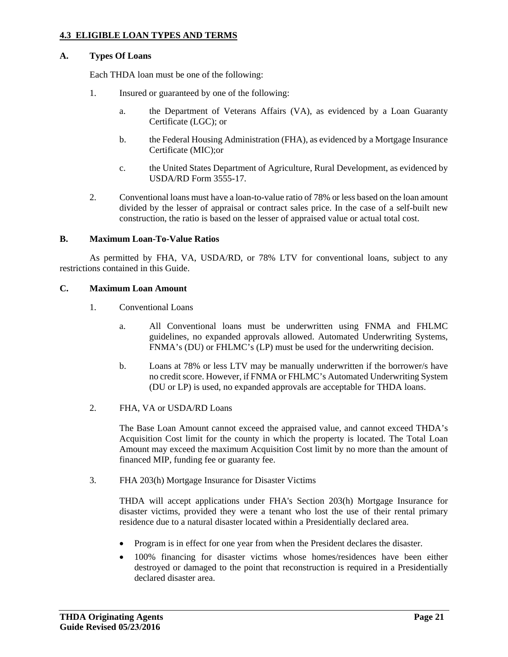#### **4.3 ELIGIBLE LOAN TYPES AND TERMS**

#### **A. Types Of Loans**

Each THDA loan must be one of the following:

- 1. Insured or guaranteed by one of the following:
	- a. the Department of Veterans Affairs (VA), as evidenced by a Loan Guaranty Certificate (LGC); or
	- b. the Federal Housing Administration (FHA), as evidenced by a Mortgage Insurance Certificate (MIC);or
	- c. the United States Department of Agriculture, Rural Development, as evidenced by USDA/RD Form 3555-17.
- 2. Conventional loans must have a loan-to-value ratio of 78% or less based on the loan amount divided by the lesser of appraisal or contract sales price. In the case of a self-built new construction, the ratio is based on the lesser of appraised value or actual total cost.

#### **B. Maximum Loan-To-Value Ratios**

As permitted by FHA, VA, USDA/RD, or 78% LTV for conventional loans, subject to any restrictions contained in this Guide.

#### **C. Maximum Loan Amount**

- 1. Conventional Loans
	- a. All Conventional loans must be underwritten using FNMA and FHLMC guidelines, no expanded approvals allowed. Automated Underwriting Systems, FNMA's (DU) or FHLMC's (LP) must be used for the underwriting decision.
	- b. Loans at 78% or less LTV may be manually underwritten if the borrower/s have no credit score. However, if FNMA or FHLMC's Automated Underwriting System (DU or LP) is used, no expanded approvals are acceptable for THDA loans.
- 2. FHA, VA or USDA/RD Loans

The Base Loan Amount cannot exceed the appraised value, and cannot exceed THDA's Acquisition Cost limit for the county in which the property is located. The Total Loan Amount may exceed the maximum Acquisition Cost limit by no more than the amount of financed MIP, funding fee or guaranty fee.

3. FHA 203(h) Mortgage Insurance for Disaster Victims

THDA will accept applications under FHA's Section 203(h) Mortgage Insurance for disaster victims, provided they were a tenant who lost the use of their rental primary residence due to a natural disaster located within a Presidentially declared area.

- Program is in effect for one year from when the President declares the disaster.
- 100% financing for disaster victims whose homes/residences have been either destroyed or damaged to the point that reconstruction is required in a Presidentially declared disaster area.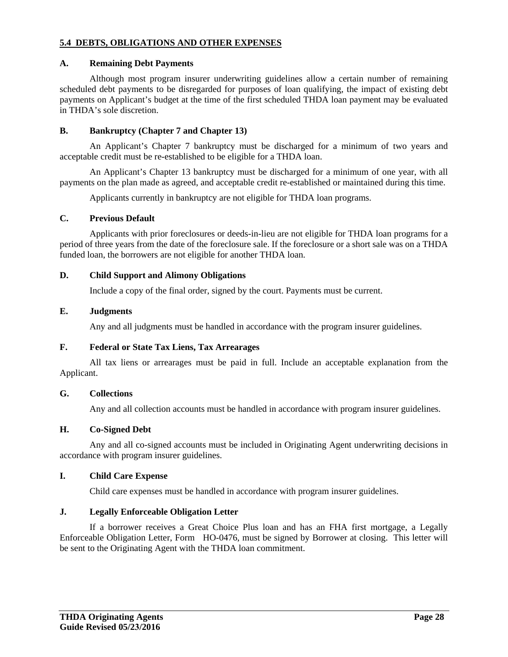#### **5.4 DEBTS, OBLIGATIONS AND OTHER EXPENSES**

#### **A. Remaining Debt Payments**

Although most program insurer underwriting guidelines allow a certain number of remaining scheduled debt payments to be disregarded for purposes of loan qualifying, the impact of existing debt payments on Applicant's budget at the time of the first scheduled THDA loan payment may be evaluated in THDA's sole discretion.

#### **B. Bankruptcy (Chapter 7 and Chapter 13)**

An Applicant's Chapter 7 bankruptcy must be discharged for a minimum of two years and acceptable credit must be re-established to be eligible for a THDA loan.

An Applicant's Chapter 13 bankruptcy must be discharged for a minimum of one year, with all payments on the plan made as agreed, and acceptable credit re-established or maintained during this time.

Applicants currently in bankruptcy are not eligible for THDA loan programs.

#### **C. Previous Default**

Applicants with prior foreclosures or deeds-in-lieu are not eligible for THDA loan programs for a period of three years from the date of the foreclosure sale. If the foreclosure or a short sale was on a THDA funded loan, the borrowers are not eligible for another THDA loan.

#### **D. Child Support and Alimony Obligations**

Include a copy of the final order, signed by the court. Payments must be current.

#### **E. Judgments**

Any and all judgments must be handled in accordance with the program insurer guidelines.

#### **F. Federal or State Tax Liens, Tax Arrearages**

All tax liens or arrearages must be paid in full. Include an acceptable explanation from the Applicant.

#### **G. Collections**

Any and all collection accounts must be handled in accordance with program insurer guidelines.

#### **H. Co-Signed Debt**

Any and all co-signed accounts must be included in Originating Agent underwriting decisions in accordance with program insurer guidelines.

#### **I. Child Care Expense**

Child care expenses must be handled in accordance with program insurer guidelines.

#### **J. Legally Enforceable Obligation Letter**

If a borrower receives a Great Choice Plus loan and has an FHA first mortgage, a Legally Enforceable Obligation Letter, Form HO-0476, must be signed by Borrower at closing. This letter will be sent to the Originating Agent with the THDA loan commitment.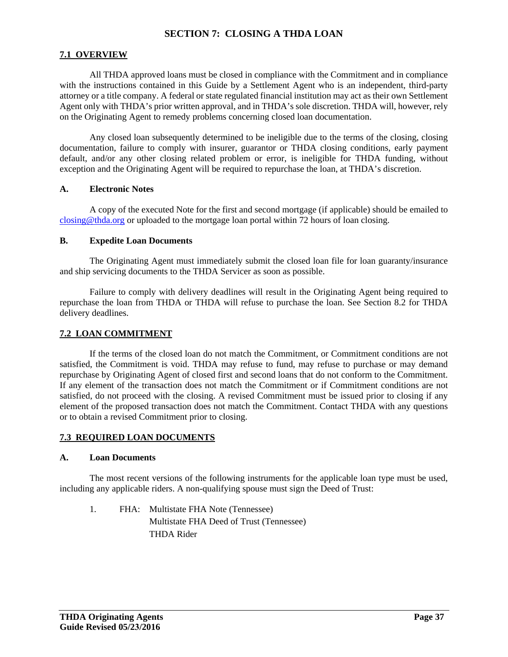#### **SECTION 7: CLOSING A THDA LOAN**

#### **7.1 OVERVIEW**

All THDA approved loans must be closed in compliance with the Commitment and in compliance with the instructions contained in this Guide by a Settlement Agent who is an independent, third-party attorney or a title company. A federal or state regulated financial institution may act as their own Settlement Agent only with THDA's prior written approval, and in THDA's sole discretion. THDA will, however, rely on the Originating Agent to remedy problems concerning closed loan documentation.

Any closed loan subsequently determined to be ineligible due to the terms of the closing, closing documentation, failure to comply with insurer, guarantor or THDA closing conditions, early payment default, and/or any other closing related problem or error, is ineligible for THDA funding, without exception and the Originating Agent will be required to repurchase the loan, at THDA's discretion.

#### **A. Electronic Notes**

A copy of the executed Note for the first and second mortgage (if applicable) should be emailed to closing@thda.org or uploaded to the mortgage loan portal within 72 hours of loan closing.

#### **B. Expedite Loan Documents**

The Originating Agent must immediately submit the closed loan file for loan guaranty/insurance and ship servicing documents to the THDA Servicer as soon as possible.

Failure to comply with delivery deadlines will result in the Originating Agent being required to repurchase the loan from THDA or THDA will refuse to purchase the loan. See Section 8.2 for THDA delivery deadlines.

#### **7.2 LOAN COMMITMENT**

If the terms of the closed loan do not match the Commitment, or Commitment conditions are not satisfied, the Commitment is void. THDA may refuse to fund, may refuse to purchase or may demand repurchase by Originating Agent of closed first and second loans that do not conform to the Commitment. If any element of the transaction does not match the Commitment or if Commitment conditions are not satisfied, do not proceed with the closing. A revised Commitment must be issued prior to closing if any element of the proposed transaction does not match the Commitment. Contact THDA with any questions or to obtain a revised Commitment prior to closing.

#### **7.3 REQUIRED LOAN DOCUMENTS**

#### **A. Loan Documents**

The most recent versions of the following instruments for the applicable loan type must be used, including any applicable riders. A non-qualifying spouse must sign the Deed of Trust:

1. FHA: Multistate FHA Note (Tennessee) Multistate FHA Deed of Trust (Tennessee) THDA Rider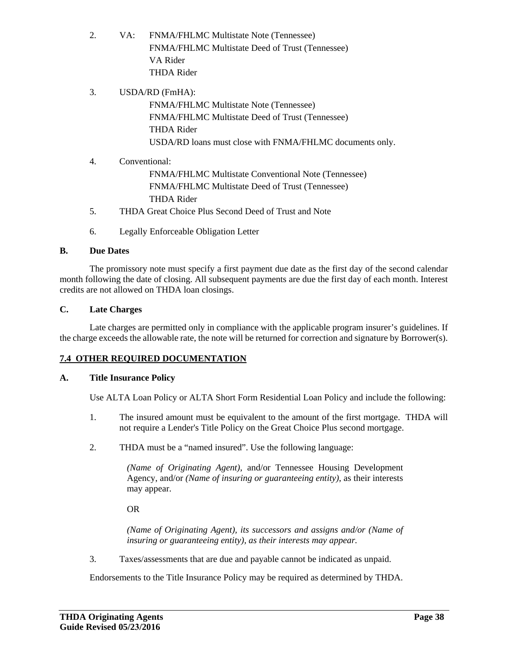- 2. VA: FNMA/FHLMC Multistate Note (Tennessee) FNMA/FHLMC Multistate Deed of Trust (Tennessee) VA Rider THDA Rider
- 3. USDA/RD (FmHA): FNMA/FHLMC Multistate Note (Tennessee) FNMA/FHLMC Multistate Deed of Trust (Tennessee) THDA Rider USDA/RD loans must close with FNMA/FHLMC documents only.
- 4. Conventional: FNMA/FHLMC Multistate Conventional Note (Tennessee) FNMA/FHLMC Multistate Deed of Trust (Tennessee) THDA Rider
- 5. THDA Great Choice Plus Second Deed of Trust and Note
- 6. Legally Enforceable Obligation Letter

#### **B. Due Dates**

The promissory note must specify a first payment due date as the first day of the second calendar month following the date of closing. All subsequent payments are due the first day of each month. Interest credits are not allowed on THDA loan closings.

#### **C. Late Charges**

Late charges are permitted only in compliance with the applicable program insurer's guidelines. If the charge exceeds the allowable rate, the note will be returned for correction and signature by Borrower(s).

#### **7.4 OTHER REQUIRED DOCUMENTATION**

#### **A. Title Insurance Policy**

Use ALTA Loan Policy or ALTA Short Form Residential Loan Policy and include the following:

- 1. The insured amount must be equivalent to the amount of the first mortgage. THDA will not require a Lender's Title Policy on the Great Choice Plus second mortgage.
- 2. THDA must be a "named insured". Use the following language:

*(Name of Originating Agent)*, and/or Tennessee Housing Development Agency, and/or *(Name of insuring or guaranteeing entity)*, as their interests may appear.

OR

*(Name of Originating Agent), its successors and assigns and/or (Name of insuring or guaranteeing entity), as their interests may appear.* 

3. Taxes/assessments that are due and payable cannot be indicated as unpaid.

Endorsements to the Title Insurance Policy may be required as determined by THDA.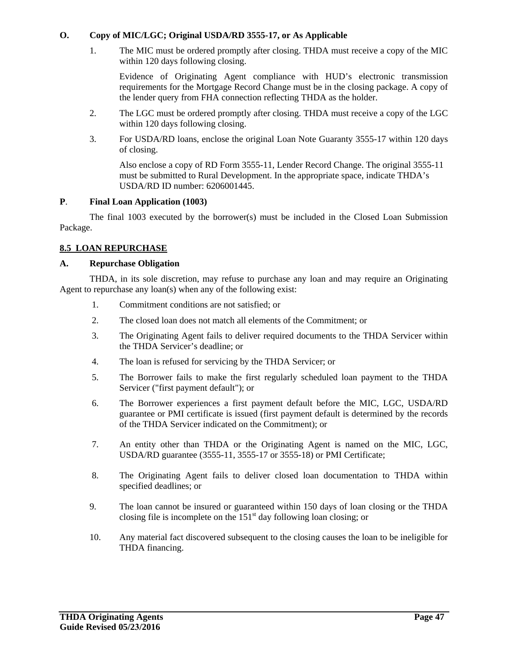#### **O. Copy of MIC/LGC; Original USDA/RD 3555-17, or As Applicable**

1. The MIC must be ordered promptly after closing. THDA must receive a copy of the MIC within 120 days following closing.

Evidence of Originating Agent compliance with HUD's electronic transmission requirements for the Mortgage Record Change must be in the closing package. A copy of the lender query from FHA connection reflecting THDA as the holder.

- 2. The LGC must be ordered promptly after closing. THDA must receive a copy of the LGC within 120 days following closing.
- 3. For USDA/RD loans, enclose the original Loan Note Guaranty 3555-17 within 120 days of closing.

Also enclose a copy of RD Form 3555-11, Lender Record Change. The original 3555-11 must be submitted to Rural Development. In the appropriate space, indicate THDA's USDA/RD ID number: 6206001445.

#### **P**. **Final Loan Application (1003)**

The final 1003 executed by the borrower(s) must be included in the Closed Loan Submission Package.

#### **8.5 LOAN REPURCHASE**

#### **A. Repurchase Obligation**

THDA, in its sole discretion, may refuse to purchase any loan and may require an Originating Agent to repurchase any loan(s) when any of the following exist:

- 1. Commitment conditions are not satisfied; or
- 2. The closed loan does not match all elements of the Commitment; or
- 3. The Originating Agent fails to deliver required documents to the THDA Servicer within the THDA Servicer's deadline; or
- 4. The loan is refused for servicing by the THDA Servicer; or
- 5. The Borrower fails to make the first regularly scheduled loan payment to the THDA Servicer ("first payment default"); or
- 6. The Borrower experiences a first payment default before the MIC, LGC, USDA/RD guarantee or PMI certificate is issued (first payment default is determined by the records of the THDA Servicer indicated on the Commitment); or
- 7. An entity other than THDA or the Originating Agent is named on the MIC, LGC, USDA/RD guarantee (3555-11, 3555-17 or 3555-18) or PMI Certificate;
- 8. The Originating Agent fails to deliver closed loan documentation to THDA within specified deadlines; or
- 9. The loan cannot be insured or guaranteed within 150 days of loan closing or the THDA closing file is incomplete on the  $151<sup>st</sup>$  day following loan closing; or
- 10. Any material fact discovered subsequent to the closing causes the loan to be ineligible for THDA financing.